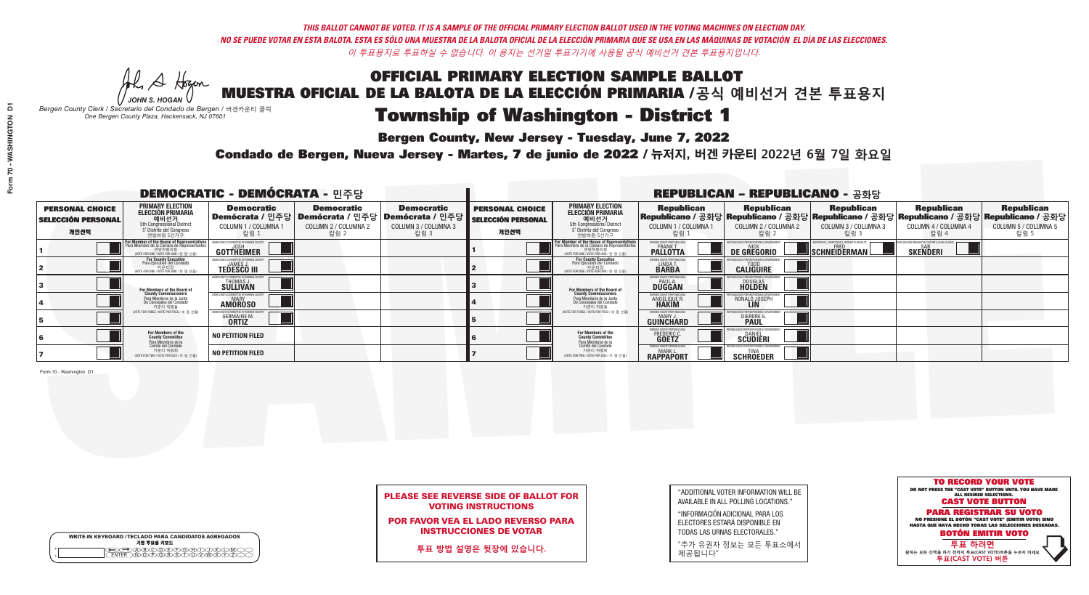**Bergen County, New Jersey - Tuesday, June 7, 2022** 

Al Stogan *JOHN S. HOGAN*

|                    | <b>WRITE-IN KEYBOARD /TECLADO PARA CANDIDATOS AGREGADOS</b><br>기명 투표용 키보드 |
|--------------------|---------------------------------------------------------------------------|
| $\circ$<br>$\circ$ |                                                                           |

*Bergen County Clerk / Secretario del Condado de Bergen /* 버겐카운티 클럭 *One Bergen County Plaza, Hackensack, NJ 07601*

Condado de Bergen, Nueva Jersey - Martes, 7 de junio de 2022 / 뉴저지, 버겐 카운티 2022년 6월 7일 화요일 *One Bergen County Plaza, Hackensack, NJ 07601*



## PLEASE SEE REVERSE SIDE OF BALLOT FOR VOTING INSTRUCTIONS

POR FAVOR VEA EL LADO REVERSO PARA INSTRUCCIONES DE VOTAR

**투표 방법 설명은 뒷장에 있습니다.**

"ADDITIONAL VOTER INFORMATION WILL BE AVAILABLE IN ALL POLLING LOCATIONS."

"INFORMACIÓN ADICIONAL PARA LOS ELECTORES ESTARÁ DISPONIBLE EN TODAS LAS URNAS ELECTORALES."

"추가 유권자 정보는 모든 투표소에서 제공됩니다"

|                                                             |                                                                                                                                               | <b>DEMOCRATIC - DEMÓCRATA - 민주당</b>                         |                                                   |                                                                                                      | <b>REPUBLICAN - REPUBLICANO - 공화당</b>                       |                                                                                                                                        |                                                                     |                                                                                                                                                 |                                                   |                                                   |                                                   |
|-------------------------------------------------------------|-----------------------------------------------------------------------------------------------------------------------------------------------|-------------------------------------------------------------|---------------------------------------------------|------------------------------------------------------------------------------------------------------|-------------------------------------------------------------|----------------------------------------------------------------------------------------------------------------------------------------|---------------------------------------------------------------------|-------------------------------------------------------------------------------------------------------------------------------------------------|---------------------------------------------------|---------------------------------------------------|---------------------------------------------------|
| <b>PERSONAL CHOICE</b><br><b>SELECCIÓN PERSONAL</b><br>개인선택 | PRIMARY ELECTION<br><b>ELECCIÓN PRIMARIA</b><br>5th Congressional District<br>5 <sup>°</sup> Distrito del Congreso<br>연방하원 5선거구               | <b>Democratic</b><br>COLUMN 1 / COLUMNA 1<br>칼럼 1           | <b>Democratic</b><br>COLUMN 2 / COLUMNA 2<br>칼럼 2 | <b>Democratic</b><br>Demócrata / 민주당 Demócrata / 민주당 Demócrata / 민주당<br>COLUMN 3 / COLUMNA 3<br>칼럼 3 | <b>PERSONAL CHOICE</b><br><b>SELECCIÓN PERSONAL</b><br>개인선택 | <b>PRIMARY ELECTION</b><br>ELECCIÓN PRIMARIA<br>예비선거<br>5th Congressional District<br>5 Distrito del Congreso<br>연방하원 5선거구             | <b>Republican</b><br>COLUMN 1 / COLUMNA 1<br>칼럼                     | <b>Republican</b><br>Republicano / 공화당 Republicano / 공화당 Republicano / 공화당 Republicano / 공화당 Republicano / 공화당<br>COLUMN 2 / COLUMNA 2<br>-칼럼 2 | <b>Republican</b><br>COLUMN 3 / COLUMNA 3<br>칼럼 3 | <b>Republican</b><br>COLUMN 4 / COLUMNA 4<br>칼럼 4 | <b>Republican</b><br>COLUMN 5 / COLUMNA 5<br>칼럼 5 |
|                                                             | For Member of the House of Representatives<br>Para Miembro de la Cámara de Representantes<br>연방하원의원<br>(VOTE FOR ONE / VOTE POR UNO / 한 명 선출) | <b>GOTTHEIMER</b>                                           |                                                   |                                                                                                      |                                                             | <b>For Member of the House of Representative</b><br>Para Miembro de la Cámara de Representante<br>NOTE FOR ONE / VOTE POR UNO / 한 명 선출 | ERGEN COUNTY REPUBLICAN<br><b>PALLOTTA</b>                          | DE GREGORIO                                                                                                                                     | SCHNEIDERMAN                                      | <b>SKENDERI</b>                                   |                                                   |
|                                                             | For County Executive<br>Para Ejecutivo del Condado<br>VOTE FOR ONE / VOTE POR UNO / 한 명 선출)                                                   | <b>TEDESCO III</b>                                          |                                                   |                                                                                                      |                                                             | For County Executive<br>Para Ejecutivo del Condado<br>(VOTE FOR ONE / VOTE POR UNO / 한 명 선출)                                           | BERGEN COUNTY REPUBLICA<br>LINDA T.                                 | <b>CALIGUIRE</b>                                                                                                                                |                                                   |                                                   |                                                   |
|                                                             | For Members of the Board of<br>County Commissioners                                                                                           | EMOCRATIC COMMITTEE OF BERGEN C<br>THOMAS J.<br>SULLIVAN    |                                                   |                                                                                                      |                                                             | For Members of the Board of<br>County Commissioners                                                                                    | <b>BERGEN COUNTY REPUBLICAN:</b><br><b>PAUL A.</b><br><b>DUGGAN</b> | <b>DOUGLAS</b>                                                                                                                                  |                                                   |                                                   |                                                   |
|                                                             | Para Miembros de la Junta<br>De Concejales del Condado<br>카운티 위원들                                                                             | <b>IOCRATIC COMMITTEE OF BERGEN COUNT</b><br><b>AMOROSO</b> |                                                   |                                                                                                      |                                                             | Para Miembros de la Junta<br>De Concejales del Condado<br>카운티 위원들                                                                      | ERGEN COUNTY REPUBLICAN<br><b>ANGELIQUE R</b>                       | RONALD JOSEPH<br><b>LIN</b>                                                                                                                     |                                                   |                                                   |                                                   |
|                                                             | NOTE FOR THREE / VOTE POR TRES / 세 명 선출)                                                                                                      | <b>GERMAINE M.</b><br><b>ORTIZ</b>                          |                                                   |                                                                                                      |                                                             | (VOTE FOR THREE / VOTE POR TRES / 세 명 선출)                                                                                              | ERGEN COUNTY REPUBLICAN<br>MARY J<br>GUINCHARD                      | <b>DIERDRE</b>                                                                                                                                  |                                                   |                                                   |                                                   |
|                                                             | For Members of the<br>County Committee<br>Para Miembros de la<br>Comité del Condado                                                           | <b>NO PETITION FILED</b>                                    |                                                   |                                                                                                      |                                                             | For Members of the<br>County Committee                                                                                                 | ERGEN COUNTY REPUBLICAN:<br>FREDERIC C.                             | <b>SCUDIERI</b>                                                                                                                                 |                                                   |                                                   |                                                   |
|                                                             | 카운티 위원회<br>NOTE FOR TWO / VOTE POR DOS / 두 명 선출)                                                                                              | <b>NO PETITION FILED</b>                                    |                                                   |                                                                                                      |                                                             | Para Miembros de la<br>Comité del Condado<br>카운티 위원회<br>NOTE FOR TWO / VOTE POR DOS / 두 명 선출                                           | BERGEN COUNTY REPUBLICAN<br>MARK I<br><b>RAPPAPORT</b>              | <b>SCHROEDER</b>                                                                                                                                |                                                   |                                                   |                                                   |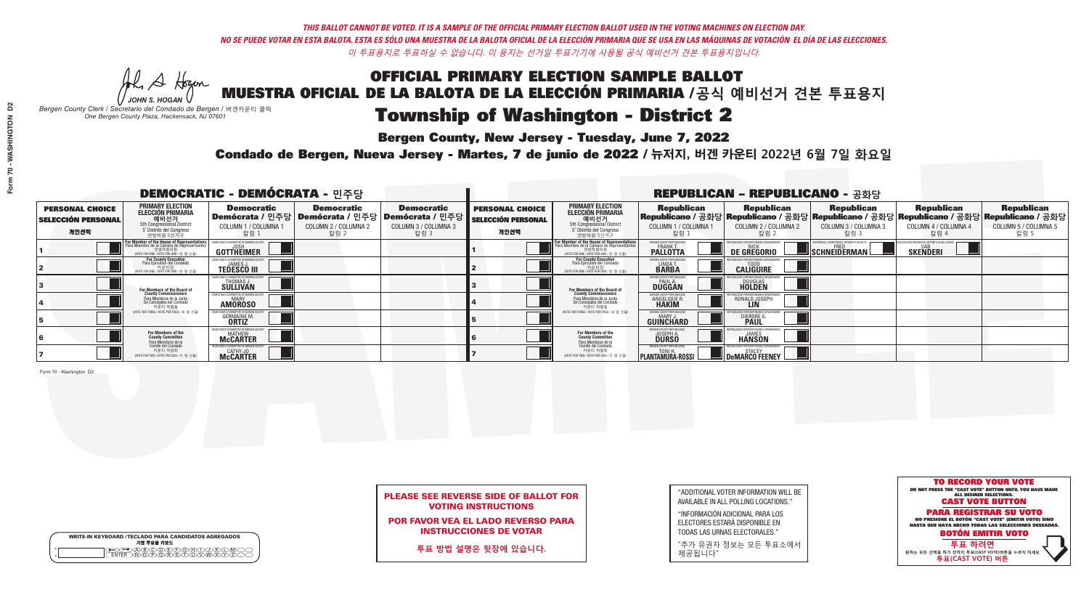**Bergen County, New Jersey - Tuesday, June 7, 2022** 

A Hogan *JOHN S. HOGAN*

|              | <b>WRITE-IN KEYBOARD /TECLADO PARA CANDIDATOS AGREGADOS</b><br>기명 투표용 키보드 |
|--------------|---------------------------------------------------------------------------|
| ٥<br>$\circ$ | XO(D)(E)(F)(G)(H)(                                                        |

*Bergen County Clerk / Secretario del Condado de Bergen /* 버겐카운티 클럭 *One Bergen County Plaza, Hackensack, NJ 07601*



## PLEASE SEE REVERSE SIDE OF BALLOT FOR VOTING INSTRUCTIONS

POR FAVOR VEA EL LADO REVERSO PARA INSTRUCCIONES DE VOTAR

**투표 방법 설명은 뒷장에 있습니다.**

"ADDITIONAL VOTER INFORMATION WILL BE AVAILABLE IN ALL POLLING LOCATIONS."

"INFORMACIÓN ADICIONAL PARA LOS ELECTORES ESTARÁ DISPONIBLE EN TODAS LAS URNAS ELECTORALES."

"추가 유권자 정보는 모든 투표소에서 제공됩니다"

Condado de Bergen, Nueva Jersey - Martes, 7 de junio de 2022 / 뉴저지, 버겐 카운티 2022년 6월 7일 화요일 *One Bergen County Plaza, Hackensack, NJ 07601*

|                                                             |                                                                                                                                        | <b>DEMOCRATIC - DEMÓCRATA - 민주당</b>                            |                                                   |                                                                                                            | <b>REPUBLICAN - REPUBLICANO - 공화당</b>                       |                                                                                                                                                  |                                                                   |                                                                                                                                                |                                                   |                                                   |                                                   |  |
|-------------------------------------------------------------|----------------------------------------------------------------------------------------------------------------------------------------|----------------------------------------------------------------|---------------------------------------------------|------------------------------------------------------------------------------------------------------------|-------------------------------------------------------------|--------------------------------------------------------------------------------------------------------------------------------------------------|-------------------------------------------------------------------|------------------------------------------------------------------------------------------------------------------------------------------------|---------------------------------------------------|---------------------------------------------------|---------------------------------------------------|--|
| <b>PERSONAL CHOICE</b><br><b>SELECCIÓN PERSONAL</b><br>개인선택 | <b>PRIMARY ELECTION</b><br>ELECCIÓN PRIMARIA<br>예비선거<br><sub>5th Congressional</sub> District<br>5° Distrito del Congreso<br>연방하원 5선거구 | <b>Democratic</b><br>COLUMN 1 / COLUMNA<br>칼럼 1                | <b>Democratic</b><br>COLUMN 2 / COLUMNA 2<br>칼럼 2 | <b>Democratic</b><br>  Demócrata / 민주당   Demócrata / 민주당   Demócrata / 민주당<br>COLUMN 3 / COLUMNA 3<br>칼럼 3 | <b>PERSONAL CHOICE</b><br><b>SELECCIÓN PERSONAL</b><br>개인선택 | <b>PRIMARY ELECTION</b><br><b>ELECCIÓN PRIMARIA</b><br>예비선거<br><sub>5</sub> Sth Congressional District<br>5 Distrito del Congreso<br>연방하원 5선거구   | <b>Republican</b><br>COLUMN 1 / COLUMNA 1<br>"칼럼 1                | <b>Republican</b><br>Republicano / 공화당 Republicano / 공화당 Republicano / 공화당 Republicano / 공화당 Republicano / 공화당<br>COLUMN 2 / COLUMNA 2<br>칼럼 2 | <b>Republican</b><br>COLUMN 3 / COLUMNA 3<br>칼럼 3 | <b>Republican</b><br>COLUMN 4 / COLUMNA 4<br>칼럼 4 | <b>Republican</b><br>COLUMN 5 / COLUMNA 5<br>칼럼 5 |  |
|                                                             | or Member of the House of Representatives<br>ara Miembro de la Cámara de Representantes<br>NOTE FOR ONE 7 VOTE POR UNO / 하 명 선축)       | GOTTHEIMER                                                     |                                                   |                                                                                                            |                                                             | F <mark>or Member of the House of Representatives</mark><br>Para Miembro de la Cámara de Representantes<br>WOTE FOR ONE / VOTE POR UNO / 하 명 선축) | BERGEN COUNTY REPUBLICAN<br><b>FRANK T</b><br><b>PALLOTTA</b>     | DE GREGORIO                                                                                                                                    | $\blacksquare$ Schneiderman $\blacksquare$        | <b>SKENDERI</b>                                   |                                                   |  |
|                                                             | For County Executive<br>Para Ejecutivo del Condado<br>VOTE FOR ONE / VOTE POR UNO / 한 명 선출)                                            | DEMOCRATIC COMMITTEE OF BERGEN C<br><b>TEDESCO III</b>         |                                                   |                                                                                                            |                                                             | For County Executive<br>Para Ejecutivo del Condado<br>7 카운티장<br>(VOTE FOR ONE / VOTE POR UNO / 한 명 선출                                            | BERGEN COUNTY REPUBLICAN<br>LINDA T.                              | <b>CALIGUIRE</b>                                                                                                                               |                                                   |                                                   |                                                   |  |
|                                                             | For Members of the Board of<br>County Commissioners                                                                                    | THOMAS J.                                                      |                                                   |                                                                                                            |                                                             | <b>For Members of the Board of County Commissioners</b>                                                                                          | <b>ERGEN COUNTY REPUBLICAN</b><br><b>PAUL A.</b><br><b>DUGGAN</b> | <b>DOUGLAS</b><br><b>HOLDEN</b>                                                                                                                |                                                   |                                                   |                                                   |  |
|                                                             | Para Miembros de la Junta<br>De Concejales del Condado<br>카운티 위원들                                                                      | <b>AMOROSO</b>                                                 |                                                   |                                                                                                            |                                                             | Para Miembros de la Junta<br>De Concejales del Condado<br>카운티 위원들                                                                                | ERGEN COUNTY REPUBLICA<br><b>ANGELIQUE R</b>                      | RONALD JOSEPH<br><b>LIN</b>                                                                                                                    |                                                   |                                                   |                                                   |  |
|                                                             | (VOTE FOR THREE / VOTE POR TRES / 세 명 선출)                                                                                              | <b>GERMAINE M.</b>                                             |                                                   |                                                                                                            |                                                             | (VOTE FOR THREE / VOTE POR TRES / 세 명 선출)                                                                                                        | ERGEN COUNTY REPUBLICA<br>MARY.<br><b>GUINCHARD</b>               | <b>DIERDRE</b>                                                                                                                                 |                                                   |                                                   |                                                   |  |
|                                                             | For Members of the<br>County Committee<br>Para Miembros de la<br>Comité del Condado                                                    | MOCRATIC COMMITTEE OF BERGEN COUN<br><b>MATHEW</b><br>McCARTER |                                                   |                                                                                                            |                                                             | For Members of the<br>County Committee                                                                                                           | ERGEN COUNTY REPUBLICAN<br><b>JOSEPH A.</b><br><b>DURSO</b>       | <b>HANSON</b>                                                                                                                                  |                                                   |                                                   |                                                   |  |
|                                                             | 카운티 위원회<br>NOTE FOR TWO / VOTE POR DOS / 두 명 선출)                                                                                       | CATHY-JO<br>McCARTER                                           |                                                   |                                                                                                            |                                                             | Para Miembros de la<br>Comité del Condado<br>카운티 위원회<br>WOTE FOR TWO / VOTE POR DOS / 두 명                                                        | <b>REGEN COUNTY REPUBLICANS</b><br><b>PLANTAMURA-ROSSI</b>        | DeMARCO FEENEY                                                                                                                                 |                                                   |                                                   |                                                   |  |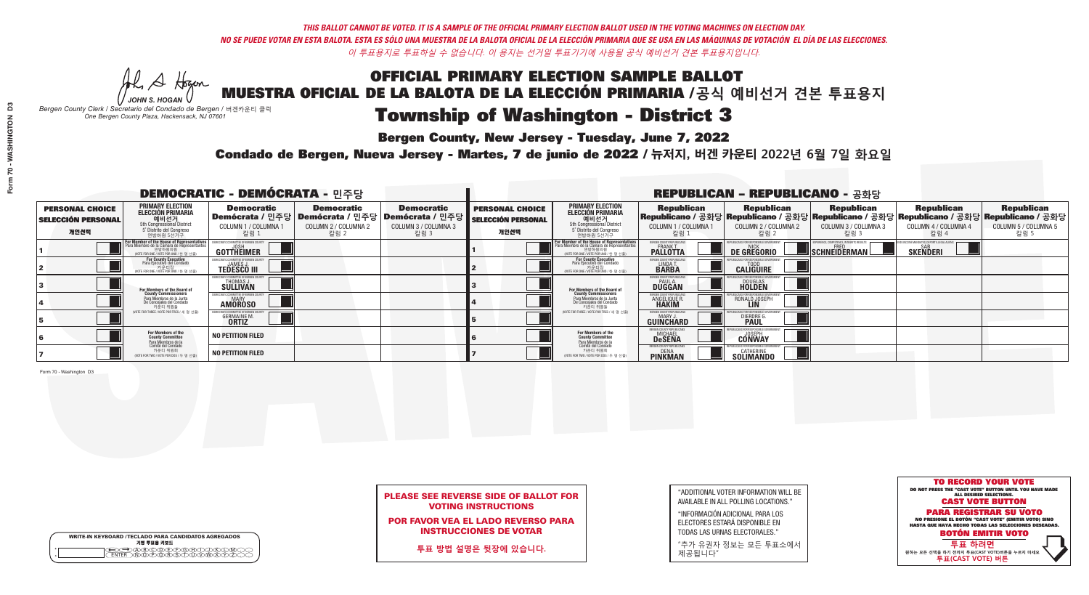**Bergen County, New Jersey - Tuesday, June 7, 2022** 

Al Stogan *JOHN S. HOGAN*

|                    | <b>WRITE-IN KEYBOARD /TECLADO PARA CANDIDATOS AGREGADOS</b><br>기명 투표용 키보드 |
|--------------------|---------------------------------------------------------------------------|
| $\circ$<br>$\circ$ |                                                                           |

*Bergen County Clerk / Secretario del Condado de Bergen /* 버겐카운티 클럭 *One Bergen County Plaza, Hackensack, NJ 07601*

Condado de Bergen, Nueva Jersey - Martes, 7 de junio de 2022 / 뉴저지, 버겐 카운티 2022년 6월 7일 화요일 *One Bergen County Plaza, Hackensack, NJ 07601*



## PLEASE SEE REVERSE SIDE OF BALLOT FOR VOTING INSTRUCTIONS

POR FAVOR VEA EL LADO REVERSO PARA INSTRUCCIONES DE VOTAR

**투표 방법 설명은 뒷장에 있습니다.**

"ADDITIONAL VOTER INFORMATION WILL BE AVAILABLE IN ALL POLLING LOCATIONS."

"INFORMACIÓN ADICIONAL PARA LOS ELECTORES ESTARÁ DISPONIBLE EN TODAS LAS URNAS ELECTORALES."

"추가 유권자 정보는 모든 투표소에서 제공됩니다"

|                                                             |                                                                                                                                               | <b>DEMOCRATIC - DEMÓCRATA - 민주당</b>                         |                                                   |                                                                                                      | <b>REPUBLICAN - REPUBLICANO - 공화당</b>                       |                                                                                                                                        |                                                             |                                                                                                                                                 |                                                   |                                                   |                                                   |
|-------------------------------------------------------------|-----------------------------------------------------------------------------------------------------------------------------------------------|-------------------------------------------------------------|---------------------------------------------------|------------------------------------------------------------------------------------------------------|-------------------------------------------------------------|----------------------------------------------------------------------------------------------------------------------------------------|-------------------------------------------------------------|-------------------------------------------------------------------------------------------------------------------------------------------------|---------------------------------------------------|---------------------------------------------------|---------------------------------------------------|
| <b>PERSONAL CHOICE</b><br><b>SELECCIÓN PERSONAL</b><br>개인선택 | PRIMARY ELECTION<br><b>ELECCIÓN PRIMARIA</b><br>5th Congressional District<br>5 <sup>°</sup> Distrito del Congreso<br>연방하원 5선거구               | <b>Democratic</b><br>COLUMN 1 / COLUMNA 1<br>칼럼 1           | <b>Democratic</b><br>COLUMN 2 / COLUMNA 2<br>칼럼 2 | <b>Democratic</b><br>Demócrata / 민주당 Demócrata / 민주당 Demócrata / 민주당<br>COLUMN 3 / COLUMNA 3<br>칼럼 3 | <b>PERSONAL CHOICE</b><br><b>SELECCIÓN PERSONAL</b><br>개인선택 | <b>PRIMARY ELECTION</b><br>ELECCIÓN PRIMARIA<br>예비선거<br>5th Congressional District<br>5 Distrito del Congreso<br>연방하원 5선거구             | <b>Republican</b><br>COLUMN 1 / COLUMNA 1<br>칼럼             | <b>Republican</b><br>Republicano / 공화당 Republicano / 공화당 Republicano / 공화당 Republicano / 공화당 Republicano / 공화당<br>COLUMN 2 / COLUMNA 2<br>-칼럼 2 | <b>Republican</b><br>COLUMN 3 / COLUMNA 3<br>칼럼 3 | <b>Republican</b><br>COLUMN 4 / COLUMNA 4<br>칼럼 4 | <b>Republican</b><br>COLUMN 5 / COLUMNA 5<br>칼럼 5 |
|                                                             | For Member of the House of Representatives<br>Para Miembro de la Cámara de Representantes<br>연방하원의원<br>(VOTE FOR ONE / VOTE POR UNO / 한 명 선출) | <b>GOTTHEIMER</b>                                           |                                                   |                                                                                                      |                                                             | <b>For Member of the House of Representative</b><br>Para Miembro de la Cámara de Representante<br>NOTE FOR ONE / VOTE POR UNO / 한 명 선출 | ERGEN COUNTY REPUBLICAN<br><b>PALLOTTA</b>                  | DE GREGORIO                                                                                                                                     | SCHNEIDERMAN                                      | <b>SKENDERI</b>                                   |                                                   |
|                                                             | For County Executive<br>Para Ejecutivo del Condado<br>VOTE FOR ONE / VOTE POR UNO / 한 명 선출)                                                   | <b>TEDESCO III</b>                                          |                                                   |                                                                                                      |                                                             | For County Executive<br>Para Ejecutivo del Condado<br>(VOTE FOR ONE / VOTE POR UNO / 한 명 선출)                                           | BERGEN COUNTY REPUBLICA<br>LINDA T.                         | <b>CALIGUIRE</b>                                                                                                                                |                                                   |                                                   |                                                   |
|                                                             | For Members of the Board of<br>County Commissioners                                                                                           | EMOCRATIC COMMITTEE OF BERGEN C<br>THOMAS J.<br>SULLIVAN    |                                                   |                                                                                                      |                                                             | For Members of the Board of<br>County Commissioners                                                                                    | BERGEN COUNTY REPUBLICAN<br><b>PAUL A.</b><br><b>DUGGAN</b> | <b>DOUGLAS</b>                                                                                                                                  |                                                   |                                                   |                                                   |
|                                                             | Para Miembros de la Junta<br>De Concejales del Condado<br>카운티 위원들                                                                             | <b>IOCRATIC COMMITTEE OF BERGEN COUNT</b><br><b>AMOROSO</b> |                                                   |                                                                                                      |                                                             | Para Miembros de la Junta<br>De Concejales del Condado<br>카운티 위원들                                                                      | ERGEN COUNTY REPUBLICAN<br><b>ANGELIQUE R</b>               | RONALD JOSEPH<br><b>LIN</b>                                                                                                                     |                                                   |                                                   |                                                   |
|                                                             | NOTE FOR THREE / VOTE POR TRES / 세 명 선출)                                                                                                      | <b>GERMAINE M.</b><br><b>ORTIZ</b>                          |                                                   |                                                                                                      |                                                             | (VOTE FOR THREE / VOTE POR TRES / 세 명 선출)                                                                                              | ERGEN COUNTY REPUBLICAN<br>MARY J<br>GUINCHARD              | <b>DIERDRE</b>                                                                                                                                  |                                                   |                                                   |                                                   |
|                                                             | For Members of the<br>County Committee<br>Para Miembros de la<br>Comité del Condado                                                           | <b>NO PETITION FILED</b>                                    |                                                   |                                                                                                      |                                                             | <b>For Members of the<br/>County Committee</b>                                                                                         | BERGEN COUNTY REPUBLICANS<br><b>MICHAEL</b>                 | <b>CONWAY</b>                                                                                                                                   |                                                   |                                                   |                                                   |
|                                                             | 카운티 위원회<br>NOTE FOR TWO / VOTE POR DOS / 두 명 선출)                                                                                              | <b>NO PETITION FILED</b>                                    |                                                   |                                                                                                      |                                                             | Para Miembros de la<br>Comité del Condado<br>카운티 위원회<br>NOTE FOR TWO / VOTE POR DOS / 두 명 선출                                           | <b>FRGEN COUNTY REPUBLICAN</b><br>DENA<br><b>PINKMAN</b>    | CATHERINE<br><b>SOLIMANDO</b>                                                                                                                   |                                                   |                                                   |                                                   |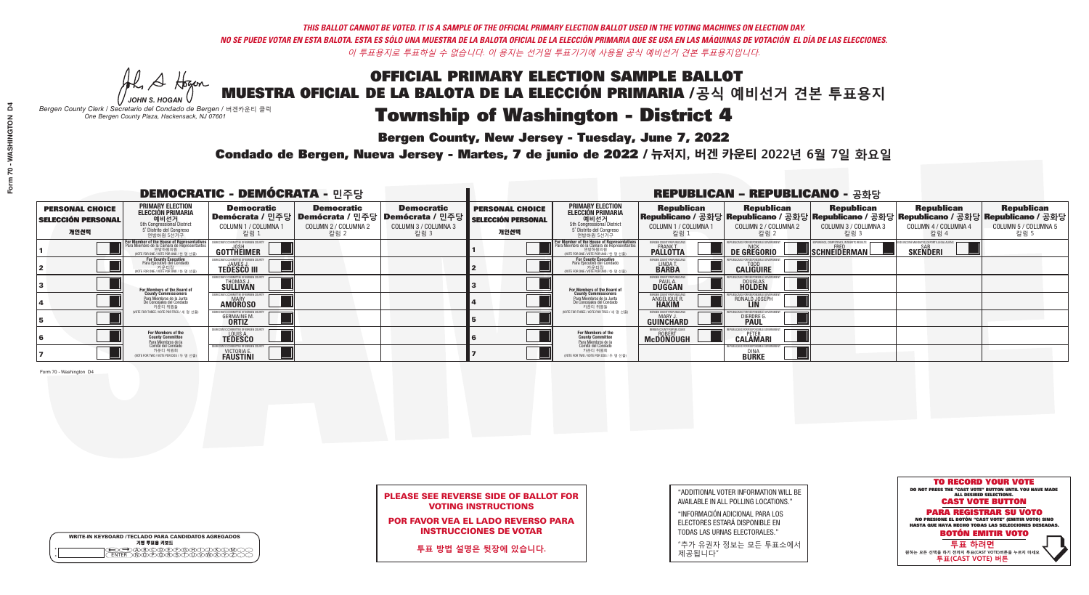**Bergen County, New Jersey - Tuesday, June 7, 2022** 

A Hogan *JOHN S. HOGAN*

|         | <b>WRITE-IN KEYBOARD /TECLADO PARA CANDIDATOS AGREGADOS</b><br>기명 투표용 키보드 |
|---------|---------------------------------------------------------------------------|
| $\circ$ | )B)C)D)E)(F)(G)(H<br><u>ወለ៍ እንፍለች</u>                                     |

*Bergen County Clerk / Secretario del Condado de Bergen /* 버겐카운티 클럭 *One Bergen County Plaza, Hackensack, NJ 07601*

Condado de Bergen, Nueva Jersey - Martes, 7 de junio de 2022 / 뉴저지, 버겐 카운티 2022년 6월 7일 화요일 *One Bergen County Plaza, Hackensack, NJ 07601*



## PLEASE SEE REVERSE SIDE OF BALLOT FOR VOTING INSTRUCTIONS

POR FAVOR VEA EL LADO REVERSO PARA INSTRUCCIONES DE VOTAR

**투표 방법 설명은 뒷장에 있습니다.**

"ADDITIONAL VOTER INFORMATION WILL BE AVAILABLE IN ALL POLLING LOCATIONS."

"INFORMACIÓN ADICIONAL PARA LOS ELECTORES ESTARÁ DISPONIBLE EN TODAS LAS URNAS ELECTORALES."

"추가 유권자 정보는 모든 투표소에서 제공됩니다"

|                                                             |                                                                                                                                               | <b>DEMOCRATIC - DEMÓCRATA - 민주당</b>                                      |                                                                                          |                                                                      |                                                             | <b>REPUBLICAN - REPUBLICANO - 공화당</b>                                                                                                                       |                                                          |                                                                                                                                                 |                                                   |                                                   |                                                   |  |
|-------------------------------------------------------------|-----------------------------------------------------------------------------------------------------------------------------------------------|--------------------------------------------------------------------------|------------------------------------------------------------------------------------------|----------------------------------------------------------------------|-------------------------------------------------------------|-------------------------------------------------------------------------------------------------------------------------------------------------------------|----------------------------------------------------------|-------------------------------------------------------------------------------------------------------------------------------------------------|---------------------------------------------------|---------------------------------------------------|---------------------------------------------------|--|
| <b>PERSONAL CHOICE</b><br><b>SELECCIÓN PERSONAL</b><br>개인선택 | PRIMARY ELECTION<br>ELECCIÓN PRIMARIA<br>에비선거<br>5th Congressional District<br>5 <sup>*</sup> Distrito del Congreso<br>연방하원 5선거구              | <b>Democratic</b><br>COLUMN 1 / COLUMNA 1<br>칼럼 1                        | <b>Democratic</b><br>Demócrata / 민주당   Demócrata / 민주당  <br>COLUMN 2 / COLUMNA 2<br>칼럼 2 | <b>Democratic</b><br>Demócrata / 민주당<br>COLUMN 3 / COLUMNA 3<br>칼럼 3 | <b>PERSONAL CHOICE</b><br><b>SELECCIÓN PERSONAL</b><br>개인선택 | <b>PRIMARY ELECTION</b><br><b>ELECCIÓN PRIMARIA</b><br>예비선거<br>5th Congressional District<br>5 Distrito del Congreso<br>연방하원 5선거구                           | <b>Republican</b><br>COLUMN 1 / COLUMNA 1<br>칼럼          | <b>Republican</b><br>Republicano / 공화당 Republicano / 공화당 Republicano / 공화당 Republicano / 공화당 Republicano / 공화당<br>COLUMN 2 / COLUMNA 2<br>-칼럼 2 | <b>Republican</b><br>COLUMN 3 / COLUMNA 3<br>칼럼 3 | <b>Republican</b><br>COLUMN 4 / COLUMNA 4<br>칼럼 4 | <b>Republican</b><br>COLUMN 5 / COLUMNA 5<br>칼럼 5 |  |
|                                                             | For Member of the House of Representatives<br>Para Miembro de la Cámara de Representantes<br>연방하원의원<br>(VOTE FOR ONE / VOTE POR UNO / 한 명 선출) | GOTTHEIMER                                                               |                                                                                          |                                                                      |                                                             | F <mark>or Member of the House of Representatives</mark><br>Para Miembro de la Cámara de Representantes<br>연방하원의원<br>(VOTE FOR ONE / VOTE POR UNO / 한 명 선출) | BERGEN COUNTY REPUBLICANS<br>FRANK T.<br><b>PALLOTTA</b> | DE GREGORIO                                                                                                                                     | SCHNEIDERMAN                                      | <b>SKENDERI</b>                                   |                                                   |  |
|                                                             | For County Executive<br>Para Ejecutivo del Condado<br>/OTE FOR ONE / VOTE POR UNO / 한 명 선출)                                                   | <b>TEDESCO III</b>                                                       |                                                                                          |                                                                      |                                                             | <b>For County Executive</b><br>Para Ejecutivo del Condado<br>7) 카운티장<br>(VOTE FOR ONE / VOTE POR UNO / 한 명 선출)                                              | BERGEN COUNTY REPUBLICA<br>LINDAT.                       | <b>CALIGUIRE</b>                                                                                                                                |                                                   |                                                   |                                                   |  |
|                                                             | For Members of the Board of<br>County Commissioners                                                                                           | EMOCRATIC COMMITTEE OF BERGEN LINE<br>THOMAS J.<br>SULLIVAN              |                                                                                          |                                                                      |                                                             | <b>For Members of the Board of County Commissioners</b>                                                                                                     | <b>BERGEN COUNTY REPUBLICAN<br/>PAUL A.<br/>DUGGAN</b>   | <b>DOUGLAS</b>                                                                                                                                  |                                                   |                                                   |                                                   |  |
|                                                             | Para Miembros de la Junta<br>De Concejales del Condado<br>카운티 위원들                                                                             | ATIC COMMITTEE OF BERGEN CO<br><b>AMOROSO</b>                            |                                                                                          |                                                                      |                                                             | Para Miembros de la Junta<br>De Concejales del Condado<br>카운티 위원들                                                                                           | <b>PERGEN COUNTY REPUBLICAN.</b><br><b>ANGELIQUE F</b>   | RONALD JOSEPH                                                                                                                                   |                                                   |                                                   |                                                   |  |
|                                                             | (VOTE FOR THREE / VOTE POR TRES / 세 명 선출)                                                                                                     | <b>GERMAINE M.</b><br><b>ORTIZ</b>                                       |                                                                                          |                                                                      |                                                             | (VOTE FOR THREE / VOTE POR TRES / 세 명 선출)                                                                                                                   | ERGEN COUNTY REPUBLICAN<br>MARY J<br><b>GUINCHARD</b>    | <b>DIERDRE</b>                                                                                                                                  |                                                   |                                                   |                                                   |  |
|                                                             | For Members of the<br>County Committee<br>Para Miembros de la                                                                                 | MOCRATIC COMMITTEE OF BERGEN (<br><b>TEDESCO</b>                         |                                                                                          |                                                                      |                                                             | For Members of the<br>County Committee                                                                                                                      | ERGEN COUNTY REPUBLICANS<br><b>McDONOUGH</b>             | <b>CALAMARI</b>                                                                                                                                 |                                                   |                                                   |                                                   |  |
|                                                             | Comité del Condado<br>카운티 위원회<br>(VOTE FOR TWO / VOTE POR DOS / 두 명 선출)                                                                       | MOCRATIC COMMITTEE OF BERGEN CO<br><b>VICTORIA E.</b><br><b>FAUSTINI</b> |                                                                                          |                                                                      |                                                             | Para Miembros de la<br>Comité del Condado<br>카운티 위원회<br>(VOTE FOR TWO / VOTE POR DOS / 두 명 선출)                                                              |                                                          | PUBLICANS FOR RESPONSIBLE GOVERNA<br>DINA<br><b>BURKE</b>                                                                                       |                                                   |                                                   |                                                   |  |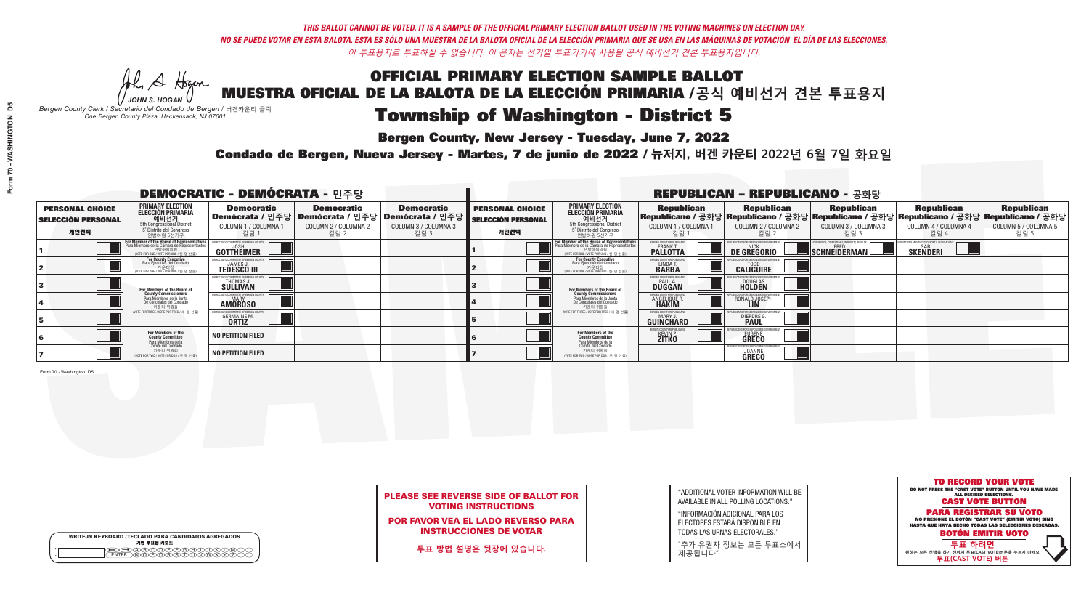A Hogan

|   | <b>WRITE-IN KEYBOARD /TECLADO PARA CANDIDATOS AGREGADOS</b><br>기명 투표용 키보드 |
|---|---------------------------------------------------------------------------|
| ω | }®©®®®®®©©®                                                               |

# OFFICIAL PRIMARY ELECTION SAMPLE BALLOT MUESTRA OFICIAL DE LA BALOTA DE LA ELECCIÓN PRIMARIA /**공식 예비선거 견본 투표용지**

## Township of Washington - District 5

**Bergen County, New Jersey - Tuesday, June 7, 2022** 

*JOHN S. HOGAN Bergen County Clerk / Secretario del Condado de Bergen /* 버겐카운티 클럭 *One Bergen County Plaza, Hackensack, NJ 07601*

Condado de Bergen, Nueva Jersey - Martes, 7 de junio de 2022 / 뉴저지, 버겐 카운티 2022년 6월 7일 화요일 *One Bergen County Plaza, Hackensack, NJ 07601*



## PLEASE SEE REVERSE SIDE OF BALLOT FOR VOTING INSTRUCTIONS

POR FAVOR VEA EL LADO REVERSO PARA INSTRUCCIONES DE VOTAR

**투표 방법 설명은 뒷장에 있습니다.**

"ADDITIONAL VOTER INFORMATION WILL BE AVAILABLE IN ALL POLLING LOCATIONS."

"INFORMACIÓN ADICIONAL PARA LOS ELECTORES ESTARÁ DISPONIBLE EN TODAS LAS URNAS ELECTORALES."

"추가 유권자 정보는 모든 투표소에서 제공됩니다"

|                                                             |                                                                                                                                               | <b>DEMOCRATIC - DEMÓCRATA - 민주당</b>                     |                                                                                                        |                                                   | <b>REPUBLICAN - REPUBLICANO - 공화당</b>                       |                                                                                                                                    |                                                              |                                                                                                                                                 |                                                   |                                                   |                                                   |
|-------------------------------------------------------------|-----------------------------------------------------------------------------------------------------------------------------------------------|---------------------------------------------------------|--------------------------------------------------------------------------------------------------------|---------------------------------------------------|-------------------------------------------------------------|------------------------------------------------------------------------------------------------------------------------------------|--------------------------------------------------------------|-------------------------------------------------------------------------------------------------------------------------------------------------|---------------------------------------------------|---------------------------------------------------|---------------------------------------------------|
| <b>PERSONAL CHOICE</b><br><b>SELECCIÓN PERSONAL</b><br>개인선택 | <b>PRIMARY ELECTION</b><br><b>ELECCIÓN PRIMARIA</b><br>5th Congressional District<br>5 <sup>o</sup> Distrito del Congreso<br>연방하원 5선거구        | <b>Democratic</b><br>COLUMN 1 / COLUMNA 1<br>_칼럼 1      | <b>Democratic</b><br>│Demócrata / 민주당│Demócrata / 민주당│Demócrata / 민주당┃<br>COLUMN 2 / COLUMNA 2<br>칼럼 2 | <b>Democratic</b><br>COLUMN 3 / COLUMNA 3<br>칼럼 3 | <b>PERSONAL CHOICE</b><br><b>SELECCIÓN PERSONAL</b><br>개인선택 | <b>PRIMARY ELECTION</b><br><b>ELECCIÓN PRIMARIA</b><br>예비선거<br>5th Congressional District<br>5 Distrito del Congreso<br>연방하원 5선거구  | <b>Republican</b><br>COLUMN 1 / COLUMNA 1<br>.칼럼 :           | <b>Republican</b><br>Republicano / 공화당 Republicano / 공화당 Republicano / 공화당 Republicano / 공화당 Republicano / 공화당<br>COLUMN 2 / COLUMNA 2<br>-칼럼 2 | <b>Republican</b><br>COLUMN 3 / COLUMNA 3<br>칼럼 3 | <b>Republican</b><br>COLUMN 4 / COLUMNA 4<br>칼럼 4 | <b>Republican</b><br>COLUMN 5 / COLUMNA 5<br>칼럼 5 |
|                                                             | For Member of the House of Representatives<br>Para Miembro de la Cámara de Representantes<br>연방하원의원<br>(VOTE FOR ONE / VOTE POR UNO / 한 명 선출) | <b>GOTTHEIMER</b>                                       |                                                                                                        |                                                   |                                                             | For Member of the House of Representatives<br>Para Miembro de la Cámara de Representantes<br>(VOTE FOR ONE / VOTE POR UNO / 한 명 선출 | ERGEN COUNTY REPUBLICAN<br><b>PALLOTTA</b>                   | DE GREGORIO                                                                                                                                     | SCHNEIDERMAN                                      | <b>SKENDERI</b>                                   |                                                   |
|                                                             | For County Executive<br>Para Ejecutivo del Condado<br>/OTE FOR ONE / VOTE POR UNO / 한 명 선출)                                                   | <b>TEDESCO III</b>                                      |                                                                                                        |                                                   |                                                             | For County Executive<br>Para Ejecutivo del Condado<br>VOTE FOR ONE / VOTE POR UNO / 한 명 선출)                                        | BERGEN COUNTY REPUBLICAN<br>LINDAT.                          | <b>CALIGUIRE</b>                                                                                                                                |                                                   |                                                   |                                                   |
|                                                             | For Members of the Board of<br>County Commissioners                                                                                           | MOCRATIC COMMITTEE OF BERGEN C<br>THOMAS J.<br>SULLIVAN |                                                                                                        |                                                   |                                                             | For Members of the Board of<br>County Commissioners                                                                                | <b>SERGEN COUNTY REPUBLICAN<br/>PAUL A.<br/>DUGGAN</b>       | <b>DOUGLAS</b>                                                                                                                                  |                                                   |                                                   |                                                   |
|                                                             | Para Miembros de la Junta<br>De Conceiales del Condado<br>카우티 위원들                                                                             | RATIC COMMITTEE OF BERGEN COUN'<br><b>AMOROSO</b>       |                                                                                                        |                                                   |                                                             | Para Miembros de la Junta<br>De Concejales del Condado<br>카운티 위원들                                                                  | <b>'ERGEN COUNTY REPUBLICAN.</b><br>ANGELIQUE R              | RONALD JOSEPH                                                                                                                                   |                                                   |                                                   |                                                   |
|                                                             | NOTE FOR THREE / VOTE POR TRES / 세 명 선출)                                                                                                      | <b>GERMAINE M.</b><br><b>ORTIZ</b>                      |                                                                                                        |                                                   |                                                             | (VOTE FOR THREE / VOTE POR TRES / 세 명 선출)                                                                                          | BERGEN COUNTY REPUBLICAN<br>MARY J<br>GUINCHARD              | <b>DIERDRE</b>                                                                                                                                  |                                                   |                                                   |                                                   |
|                                                             | For Members of the<br>County Committee<br>Para Miembros de la<br>Comité del Condado                                                           | <b>NO PETITION FILED</b>                                |                                                                                                        |                                                   |                                                             | <b>For Members of the<br/>County Committee</b>                                                                                     | BERGEN COUNTY REPUBLICAN:<br><b>KEVIN P.</b><br><b>ZITKO</b> | EUGENE<br>GRECO                                                                                                                                 |                                                   |                                                   |                                                   |
|                                                             | 카운티 위원회<br>NOTE FOR TWO / VOTE POR DOS / 두 명 선출)                                                                                              | <b>NO PETITION FILED</b>                                |                                                                                                        |                                                   |                                                             | Para Miembros de la<br>Comité del Condado<br>카운티 위원회<br>NOTE FOR TWO / VOTE POR DOS / 두 명 선출)                                      |                                                              | EPUBLICANS FOR RESPONSIBLE G/<br><b>JOANNE</b><br>GRECO                                                                                         |                                                   |                                                   |                                                   |